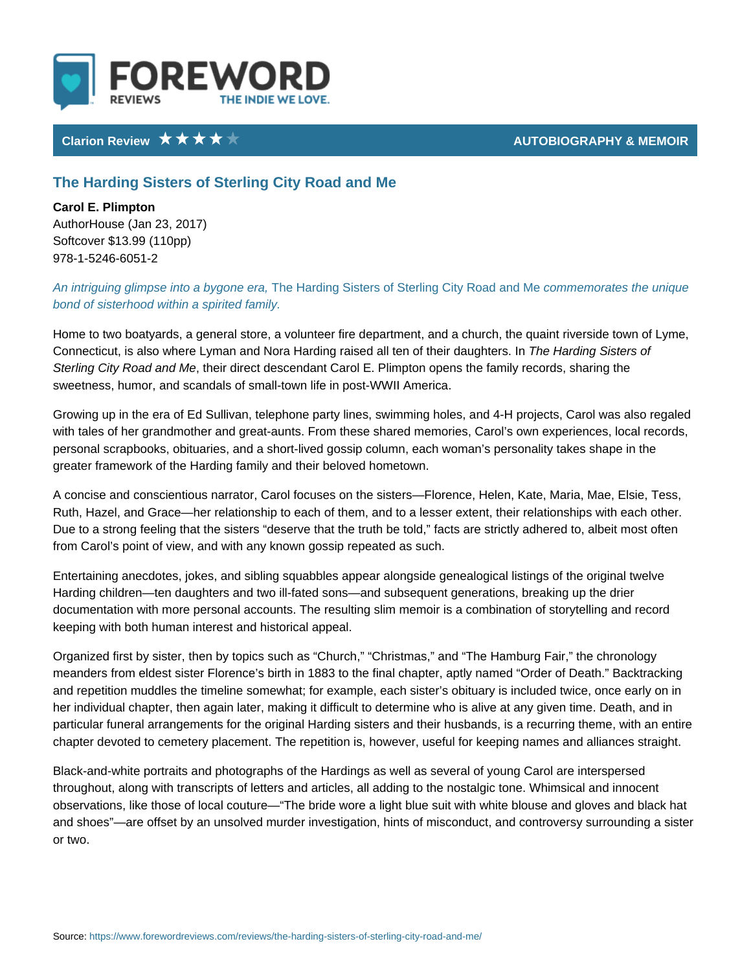## Clarion Review AUTOBIOGRAPHY & MEMORIAL

## The Harding Sisters of Sterling City Road and Me

Carol E. Plimpton AuthorHouse (Jan 23, 2017) Softcover \$13.99 (110pp) 978-1-5246-6051-2

An intriguing glimpse intoThae bhylgonhien gerSai,sters of Sterling oCoinhym Reonandiaale el Mhoe uniq bond of sisterhood within a spirited family.

Home to two boatyards, a general store, a volunteer fire department, and a chu Connecticut, is also where Lyman and Nora Harding railsheed HaalrdemgoSlishteris obaug Sterling City Road thand Me ect descendant Carol E. Plimpton opens the family re sweetness, humor, and scandals of small-town life in post-WWII America.

Growing up in the era of Ed Sullivan, telephone party lines, swimming holes, ar with tales of her grandmother and great-aunts. From these shared memories, Ca personal scrapbooks, obituaries, and a short-lived gossip column, each woman greater framework of the Harding family and their beloved hometown.

A concise and conscientious narrator, Carol focuses on the sisters Florence, He Ruth, Hazel, and Grace her relationship to each of them, and to a lesser extent Due to a strong feeling that the sisters deserve that the truth be told, facts a from Carol s point of view, and with any known gossip repeated as such.

Entertaining anecdotes, jokes, and sibling squabbles appear alongside genealog Harding children ten daughters and two ill-fated sons and subsequent generatio documentation with more personal accounts. The resulting slim memoir is a com keeping with both human interest and historical appeal.

Organized first by sister, then by topics such as Church, Christmas, and Th meanders from eldest sister Florence s birth in 1883 to the final chapter, aptly and repetition muddles the timeline somewhat; for example, each sister s obitua her individual chapter, then again later, making it difficult to determine who is particular funeral arrangements for the original Harding sisters and their husba chapter devoted to cemetery placement. The repetition is, however, useful for k

Black-and-white portraits and photographs of the Hardings as well as several o throughout, along with transcripts of letters and articles, all adding to the nost observations, like those of local couture The bride wore a light blue suit with and shoes are offset by an unsolved murder investigation, hints of misconduct, or two.